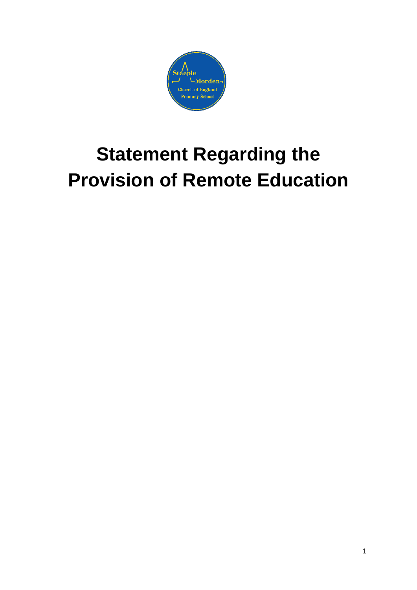

# **Statement Regarding the Provision of Remote Education**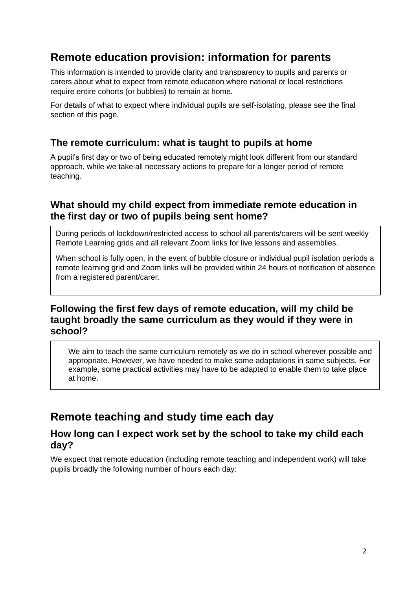# **Remote education provision: information for parents**

This information is intended to provide clarity and transparency to pupils and parents or carers about what to expect from remote education where national or local restrictions require entire cohorts (or bubbles) to remain at home.

For details of what to expect where individual pupils are self-isolating, please see the final section of this page.

#### **The remote curriculum: what is taught to pupils at home**

A pupil's first day or two of being educated remotely might look different from our standard approach, while we take all necessary actions to prepare for a longer period of remote teaching.

### **What should my child expect from immediate remote education in the first day or two of pupils being sent home?**

During periods of lockdown/restricted access to school all parents/carers will be sent weekly Remote Learning grids and all relevant Zoom links for live lessons and assemblies.

When school is fully open, in the event of bubble closure or individual pupil isolation periods a remote learning grid and Zoom links will be provided within 24 hours of notification of absence from a registered parent/carer.

## **Following the first few days of remote education, will my child be taught broadly the same curriculum as they would if they were in school?**

We aim to teach the same curriculum remotely as we do in school wherever possible and appropriate. However, we have needed to make some adaptations in some subjects. For example, some practical activities may have to be adapted to enable them to take place at home.

# **Remote teaching and study time each day**

#### **How long can I expect work set by the school to take my child each day?**

We expect that remote education (including remote teaching and independent work) will take pupils broadly the following number of hours each day: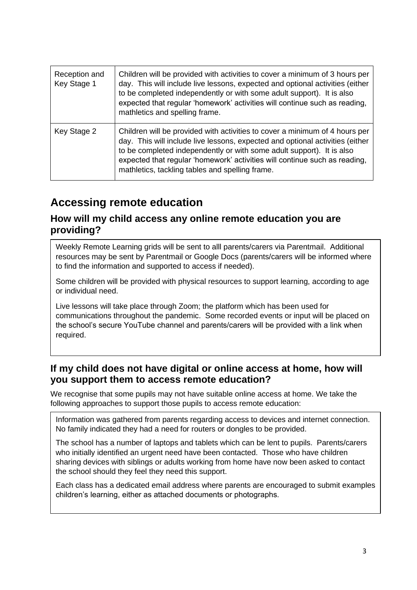| Reception and<br>Key Stage 1 | Children will be provided with activities to cover a minimum of 3 hours per<br>day. This will include live lessons, expected and optional activities (either<br>to be completed independently or with some adult support). It is also<br>expected that regular 'homework' activities will continue such as reading,<br>mathletics and spelling frame.                  |
|------------------------------|------------------------------------------------------------------------------------------------------------------------------------------------------------------------------------------------------------------------------------------------------------------------------------------------------------------------------------------------------------------------|
| Key Stage 2                  | Children will be provided with activities to cover a minimum of 4 hours per<br>day. This will include live lessons, expected and optional activities (either<br>to be completed independently or with some adult support). It is also<br>expected that regular 'homework' activities will continue such as reading,<br>mathletics, tackling tables and spelling frame. |

# **Accessing remote education**

### **How will my child access any online remote education you are providing?**

Weekly Remote Learning grids will be sent to alll parents/carers via Parentmail. Additional resources may be sent by Parentmail or Google Docs (parents/carers will be informed where to find the information and supported to access if needed).

Some children will be provided with physical resources to support learning, according to age or individual need.

Live lessons will take place through Zoom; the platform which has been used for communications throughout the pandemic. Some recorded events or input will be placed on the school's secure YouTube channel and parents/carers will be provided with a link when required.

## **If my child does not have digital or online access at home, how will you support them to access remote education?**

We recognise that some pupils may not have suitable online access at home. We take the following approaches to support those pupils to access remote education:

Information was gathered from parents regarding access to devices and internet connection. No family indicated they had a need for routers or dongles to be provided.

The school has a number of laptops and tablets which can be lent to pupils. Parents/carers who initially identified an urgent need have been contacted. Those who have children sharing devices with siblings or adults working from home have now been asked to contact the school should they feel they need this support.

Each class has a dedicated email address where parents are encouraged to submit examples children's learning, either as attached documents or photographs.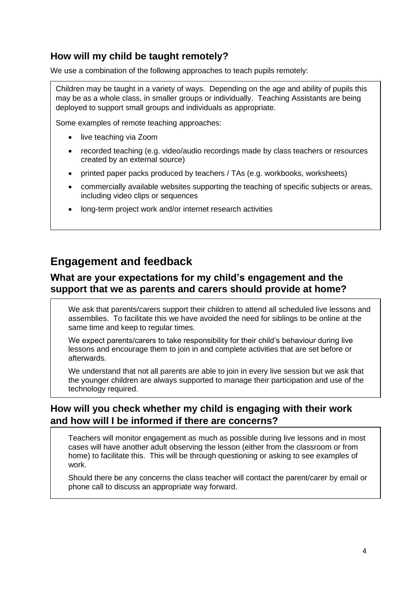## **How will my child be taught remotely?**

We use a combination of the following approaches to teach pupils remotely:

Children may be taught in a variety of ways. Depending on the age and ability of pupils this may be as a whole class, in smaller groups or individually. Teaching Assistants are being deployed to support small groups and individuals as appropriate.

Some examples of remote teaching approaches:

- live teaching via Zoom
- recorded teaching (e.g. video/audio recordings made by class teachers or resources created by an external source)
- printed paper packs produced by teachers / TAs (e.g. workbooks, worksheets)
- commercially available websites supporting the teaching of specific subjects or areas, including video clips or sequences
- long-term project work and/or internet research activities

# **Engagement and feedback**

## **What are your expectations for my child's engagement and the support that we as parents and carers should provide at home?**

We ask that parents/carers support their children to attend all scheduled live lessons and assemblies. To facilitate this we have avoided the need for siblings to be online at the same time and keep to regular times.

We expect parents/carers to take responsibility for their child's behaviour during live lessons and encourage them to join in and complete activities that are set before or afterwards.

We understand that not all parents are able to join in every live session but we ask that the younger children are always supported to manage their participation and use of the technology required.

## **How will you check whether my child is engaging with their work and how will I be informed if there are concerns?**

Teachers will monitor engagement as much as possible during live lessons and in most cases will have another adult observing the lesson (either from the classroom or from home) to facilitate this. This will be through questioning or asking to see examples of work.

Should there be any concerns the class teacher will contact the parent/carer by email or phone call to discuss an appropriate way forward.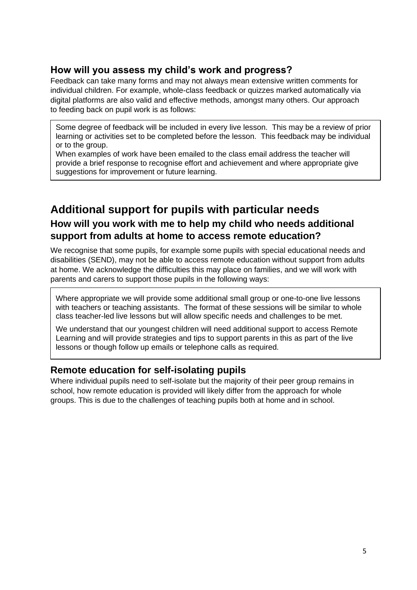## **How will you assess my child's work and progress?**

Feedback can take many forms and may not always mean extensive written comments for individual children. For example, whole-class feedback or quizzes marked automatically via digital platforms are also valid and effective methods, amongst many others. Our approach to feeding back on pupil work is as follows:

Some degree of feedback will be included in every live lesson. This may be a review of prior learning or activities set to be completed before the lesson. This feedback may be individual or to the group.

When examples of work have been emailed to the class email address the teacher will provide a brief response to recognise effort and achievement and where appropriate give suggestions for improvement or future learning.

# **Additional support for pupils with particular needs How will you work with me to help my child who needs additional support from adults at home to access remote education?**

We recognise that some pupils, for example some pupils with special educational needs and disabilities (SEND), may not be able to access remote education without support from adults at home. We acknowledge the difficulties this may place on families, and we will work with parents and carers to support those pupils in the following ways:

Where appropriate we will provide some additional small group or one-to-one live lessons with teachers or teaching assistants. The format of these sessions will be similar to whole class teacher-led live lessons but will allow specific needs and challenges to be met.

We understand that our youngest children will need additional support to access Remote Learning and will provide strategies and tips to support parents in this as part of the live lessons or though follow up emails or telephone calls as required.

#### **Remote education for self-isolating pupils**

Where individual pupils need to self-isolate but the majority of their peer group remains in school, how remote education is provided will likely differ from the approach for whole groups. This is due to the challenges of teaching pupils both at home and in school.